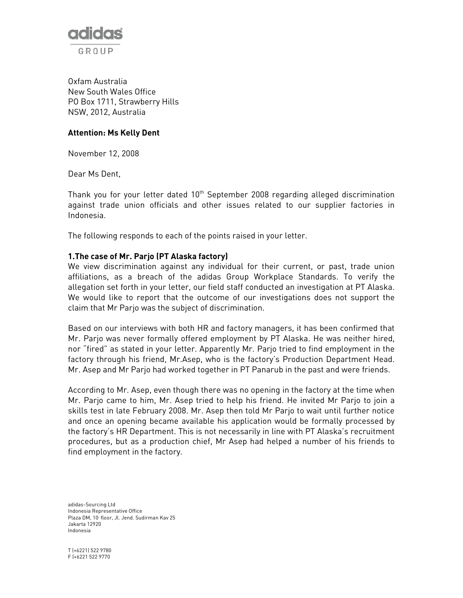

Oxfam Australia New South Wales Office PO Box 1711, Strawberry Hills NSW, 2012, Australia

### Attention: Ms Kelly Dent

November 12, 2008

Dear Ms Dent,

Thank you for your letter dated 10<sup>th</sup> September 2008 regarding alleged discrimination against trade union officials and other issues related to our supplier factories in Indonesia.

The following responds to each of the points raised in your letter.

#### 1.The case of Mr. Parjo (PT Alaska factory)

We view discrimination against any individual for their current, or past, trade union affiliations, as a breach of the adidas Group Workplace Standards. To verify the allegation set forth in your letter, our field staff conducted an investigation at PT Alaska. We would like to report that the outcome of our investigations does not support the claim that Mr Parjo was the subject of discrimination.

Based on our interviews with both HR and factory managers, it has been confirmed that Mr. Parjo was never formally offered employment by PT Alaska. He was neither hired, nor "fired" as stated in your letter. Apparently Mr. Parjo tried to find employment in the factory through his friend, Mr.Asep, who is the factory's Production Department Head. Mr. Asep and Mr Parjo had worked together in PT Panarub in the past and were friends.

According to Mr. Asep, even though there was no opening in the factory at the time when Mr. Parjo came to him, Mr. Asep tried to help his friend. He invited Mr Parjo to join a skills test in late February 2008. Mr. Asep then told Mr Parjo to wait until further notice and once an opening became available his application would be formally processed by the factory's HR Department. This is not necessarily in line with PT Alaska's recruitment procedures, but as a production chief, Mr Asep had helped a number of his friends to find employment in the factory.

adidas-Sourcing Ltd Indonesia Representative Office Plaza DM, 10<sup>t</sup> floor, Jl. Jend. Sudirman Kav 25 Jakarta 12920 Indonesia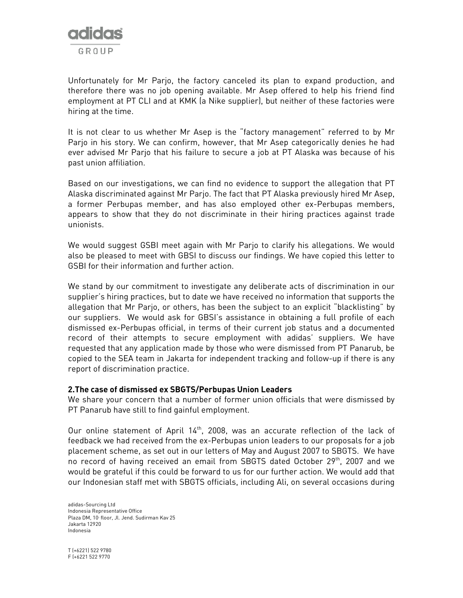

Unfortunately for Mr Parjo, the factory canceled its plan to expand production, and therefore there was no job opening available. Mr Asep offered to help his friend find employment at PT CLI and at KMK (a Nike supplier), but neither of these factories were hiring at the time.

It is not clear to us whether Mr Asep is the "factory management" referred to by Mr Parjo in his story. We can confirm, however, that Mr Asep categorically denies he had ever advised Mr Parjo that his failure to secure a job at PT Alaska was because of his past union affiliation.

Based on our investigations, we can find no evidence to support the allegation that PT Alaska discriminated against Mr Parjo. The fact that PT Alaska previously hired Mr Asep, a former Perbupas member, and has also employed other ex-Perbupas members, appears to show that they do not discriminate in their hiring practices against trade unionists.

We would suggest GSBI meet again with Mr Parjo to clarify his allegations. We would also be pleased to meet with GBSI to discuss our findings. We have copied this letter to GSBI for their information and further action.

We stand by our commitment to investigate any deliberate acts of discrimination in our supplier's hiring practices, but to date we have received no information that supports the allegation that Mr Parjo, or others, has been the subject to an explicit "blacklisting" by our suppliers. We would ask for GBSI's assistance in obtaining a full profile of each dismissed ex-Perbupas official, in terms of their current job status and a documented record of their attempts to secure employment with adidas' suppliers. We have requested that any application made by those who were dismissed from PT Panarub, be copied to the SEA team in Jakarta for independent tracking and follow-up if there is any report of discrimination practice.

#### 2.The case of dismissed ex SBGTS/Perbupas Union Leaders

We share your concern that a number of former union officials that were dismissed by PT Panarub have still to find gainful employment.

Our online statement of April  $14<sup>th</sup>$ , 2008, was an accurate reflection of the lack of feedback we had received from the ex-Perbupas union leaders to our proposals for a job placement scheme, as set out in our letters of May and August 2007 to SBGTS. We have no record of having received an email from SBGTS dated October 29<sup>th</sup>, 2007 and we would be grateful if this could be forward to us for our further action. We would add that our Indonesian staff met with SBGTS officials, including Ali, on several occasions during

adidas-Sourcing Ltd Indonesia Representative Office Plaza DM, 10<sup>t</sup> floor, Jl. Jend. Sudirman Kav 25 Jakarta 12920 Indonesia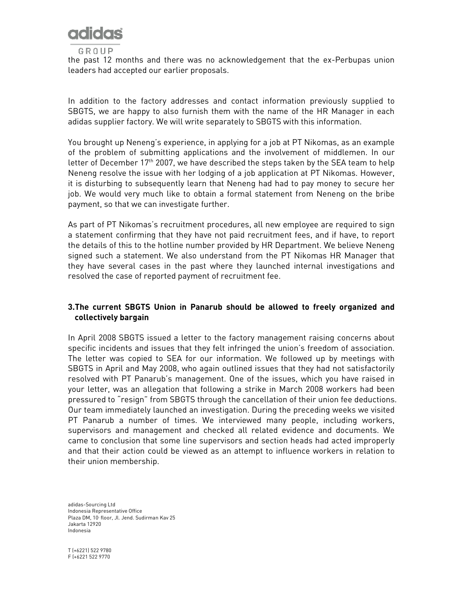

the past 12 months and there was no acknowledgement that the ex-Perbupas union leaders had accepted our earlier proposals.

In addition to the factory addresses and contact information previously supplied to SBGTS, we are happy to also furnish them with the name of the HR Manager in each adidas supplier factory. We will write separately to SBGTS with this information.

You brought up Neneng's experience, in applying for a job at PT Nikomas, as an example of the problem of submitting applications and the involvement of middlemen. In our letter of December  $17<sup>th</sup>$  2007, we have described the steps taken by the SEA team to help Neneng resolve the issue with her lodging of a job application at PT Nikomas. However, it is disturbing to subsequently learn that Neneng had had to pay money to secure her job. We would very much like to obtain a formal statement from Neneng on the bribe payment, so that we can investigate further.

As part of PT Nikomas's recruitment procedures, all new employee are required to sign a statement confirming that they have not paid recruitment fees, and if have, to report the details of this to the hotline number provided by HR Department. We believe Neneng signed such a statement. We also understand from the PT Nikomas HR Manager that they have several cases in the past where they launched internal investigations and resolved the case of reported payment of recruitment fee.

# 3.The current SBGTS Union in Panarub should be allowed to freely organized and collectively bargain

In April 2008 SBGTS issued a letter to the factory management raising concerns about specific incidents and issues that they felt infringed the union's freedom of association. The letter was copied to SEA for our information. We followed up by meetings with SBGTS in April and May 2008, who again outlined issues that they had not satisfactorily resolved with PT Panarub's management. One of the issues, which you have raised in your letter, was an allegation that following a strike in March 2008 workers had been pressured to "resign" from SBGTS through the cancellation of their union fee deductions. Our team immediately launched an investigation. During the preceding weeks we visited PT Panarub a number of times. We interviewed many people, including workers, supervisors and management and checked all related evidence and documents. We came to conclusion that some line supervisors and section heads had acted improperly and that their action could be viewed as an attempt to influence workers in relation to their union membership.

adidas-Sourcing Ltd Indonesia Representative Office Plaza DM, 10<sup>t</sup> floor, Jl. Jend. Sudirman Kav 25 Jakarta 12920 Indonesia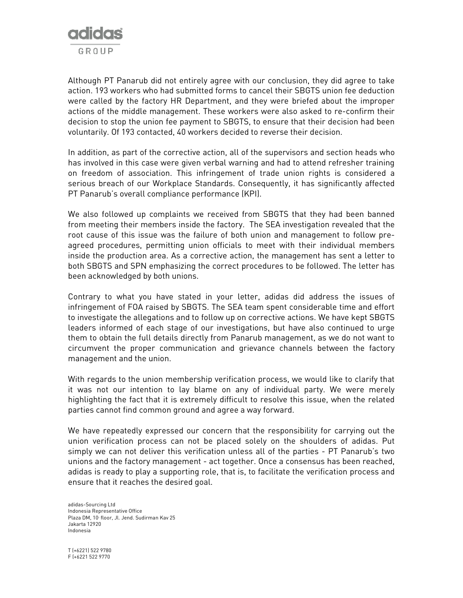

Although PT Panarub did not entirely agree with our conclusion, they did agree to take action. 193 workers who had submitted forms to cancel their SBGTS union fee deduction were called by the factory HR Department, and they were briefed about the improper actions of the middle management. These workers were also asked to re-confirm their decision to stop the union fee payment to SBGTS, to ensure that their decision had been voluntarily. Of 193 contacted, 40 workers decided to reverse their decision.

In addition, as part of the corrective action, all of the supervisors and section heads who has involved in this case were given verbal warning and had to attend refresher training on freedom of association. This infringement of trade union rights is considered a serious breach of our Workplace Standards. Consequently, it has significantly affected PT Panarub's overall compliance performance (KPI).

We also followed up complaints we received from SBGTS that they had been banned from meeting their members inside the factory. The SEA investigation revealed that the root cause of this issue was the failure of both union and management to follow preagreed procedures, permitting union officials to meet with their individual members inside the production area. As a corrective action, the management has sent a letter to both SBGTS and SPN emphasizing the correct procedures to be followed. The letter has been acknowledged by both unions.

Contrary to what you have stated in your letter, adidas did address the issues of infringement of FOA raised by SBGTS. The SEA team spent considerable time and effort to investigate the allegations and to follow up on corrective actions. We have kept SBGTS leaders informed of each stage of our investigations, but have also continued to urge them to obtain the full details directly from Panarub management, as we do not want to circumvent the proper communication and grievance channels between the factory management and the union.

With regards to the union membership verification process, we would like to clarify that it was not our intention to lay blame on any of individual party. We were merely highlighting the fact that it is extremely difficult to resolve this issue, when the related parties cannot find common ground and agree a way forward.

We have repeatedly expressed our concern that the responsibility for carrying out the union verification process can not be placed solely on the shoulders of adidas. Put simply we can not deliver this verification unless all of the parties - PT Panarub's two unions and the factory management - act together. Once a consensus has been reached, adidas is ready to play a supporting role, that is, to facilitate the verification process and ensure that it reaches the desired goal.

adidas-Sourcing Ltd Indonesia Representative Office Plaza DM, 10<sup>t</sup> floor, Jl. Jend. Sudirman Kav 25 Jakarta 12920 Indonesia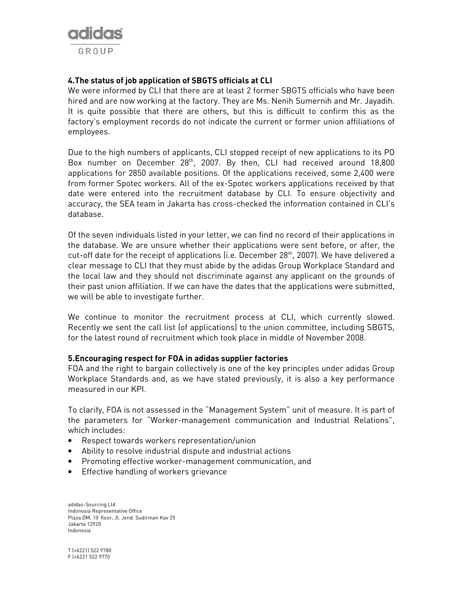

# 4.The status of job application of SBGTS officials at CLI

We were informed by CLI that there are at least 2 former SBGTS officials who have been hired and are now working at the factory. They are Ms. Nenih Sumernih and Mr. Jayadih. It is quite possible that there are others, but this is difficult to confirm this as the factory's employment records do not indicate the current or former union affiliations of employees.

Due to the high numbers of applicants, CLI stopped receipt of new applications to its PO Box number on December 28<sup>th</sup>, 2007. By then, CLI had received around 18,800 applications for 2850 available positions. Of the applications received, some 2,400 were from former Spotec workers. All of the ex-Spotec workers applications received by that date were entered into the recruitment database by CLI. To ensure objectivity and accuracy, the SEA team in Jakarta has cross-checked the information contained in CLI's database.

Of the seven individuals listed in your letter, we can find no record of their applications in the database. We are unsure whether their applications were sent before, or after, the cut-off date for the receipt of applications (i.e. December 28<sup>th</sup>, 2007). We have delivered a clear message to CLI that they must abide by the adidas Group Workplace Standard and the local law and they should not discriminate against any applicant on the grounds of their past union affiliation. If we can have the dates that the applications were submitted, we will be able to investigate further.

We continue to monitor the recruitment process at CLI, which currently slowed. Recently we sent the call list (of applications) to the union committee, including SBGTS, for the latest round of recruitment which took place in middle of November 2008.

#### 5.Encouraging respect for FOA in adidas supplier factories

FOA and the right to bargain collectively is one of the key principles under adidas Group Workplace Standards and, as we have stated previously, it is also a key performance measured in our KPI.

To clarify, FOA is not assessed in the "Management System" unit of measure. It is part of the parameters for "Worker-management communication and Industrial Relations", which includes:

- Respect towards workers representation/union
- Ability to resolve industrial dispute and industrial actions
- Promoting effective worker-management communication, and
- Effective handling of workers grievance

adidas-Sourcing Ltd Indonesia Representative Office Plaza DM, 10<sup>t</sup> floor, Jl. Jend. Sudirman Kav 25 Jakarta 12920 Indonesia